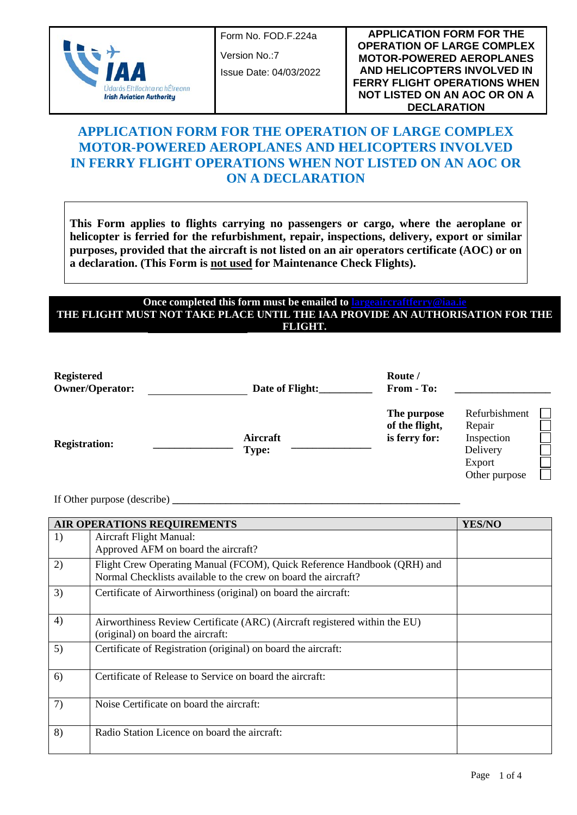

Form No. FOD.F.224a

Version No.:7

Issue Date: 04/03/2022

**APPLICATION FORM FOR THE OPERATION OF LARGE COMPLEX MOTOR-POWERED AEROPLANES AND HELICOPTERS INVOLVED IN FERRY FLIGHT OPERATIONS WHEN NOT LISTED ON AN AOC OR ON A DECLARATION**

# **APPLICATION FORM FOR THE OPERATION OF LARGE COMPLEX MOTOR-POWERED AEROPLANES AND HELICOPTERS INVOLVED IN FERRY FLIGHT OPERATIONS WHEN NOT LISTED ON AN AOC OR ON A DECLARATION**

**This Form applies to flights carrying no passengers or cargo, where the aeroplane or helicopter is ferried for the refurbishment, repair, inspections, delivery, export or similar purposes, provided that the aircraft is not listed on an air operators certificate (AOC) or on a declaration. (This Form is not used for Maintenance Check Flights).**

#### **Once completed this form must be emailed to [largeaircraftferry@iaa.ie](mailto:largeaircraftferry@iaa.ie) THE FLIGHT MUST NOT TAKE PLACE UNTIL THE IAA PROVIDE AN AUTHORISATION FOR THE FLIGHT.**

| <b>Registered</b><br><b>Owner/Operator:</b> | Date of Flight:          | Route /<br>From - To:                          |                                                                              |
|---------------------------------------------|--------------------------|------------------------------------------------|------------------------------------------------------------------------------|
| <b>Registration:</b>                        | Aircraft<br><b>Type:</b> | The purpose<br>of the flight,<br>is ferry for: | Refurbishment<br>Repair<br>Inspection<br>Delivery<br>Export<br>Other purpose |

If Other purpose (describe) **\_\_\_\_\_\_\_\_\_\_\_\_\_\_\_\_\_\_\_\_\_\_\_\_\_\_\_\_\_\_\_\_\_\_\_\_\_\_\_\_\_\_\_\_\_\_\_\_\_\_\_\_\_\_**

|    | AIR OPERATIONS REQUIREMENTS<br><b>YES/NO</b>                                                                                              |  |  |  |  |  |
|----|-------------------------------------------------------------------------------------------------------------------------------------------|--|--|--|--|--|
| 1) | Aircraft Flight Manual:<br>Approved AFM on board the aircraft?                                                                            |  |  |  |  |  |
| 2) | Flight Crew Operating Manual (FCOM), Quick Reference Handbook (QRH) and<br>Normal Checklists available to the crew on board the aircraft? |  |  |  |  |  |
| 3) | Certificate of Airworthiness (original) on board the aircraft:                                                                            |  |  |  |  |  |
| 4) | Airworthiness Review Certificate (ARC) (Aircraft registered within the EU)<br>(original) on board the aircraft:                           |  |  |  |  |  |
| 5) | Certificate of Registration (original) on board the aircraft:                                                                             |  |  |  |  |  |
| 6) | Certificate of Release to Service on board the aircraft:                                                                                  |  |  |  |  |  |
| 7) | Noise Certificate on board the aircraft:                                                                                                  |  |  |  |  |  |
| 8) | Radio Station Licence on board the aircraft:                                                                                              |  |  |  |  |  |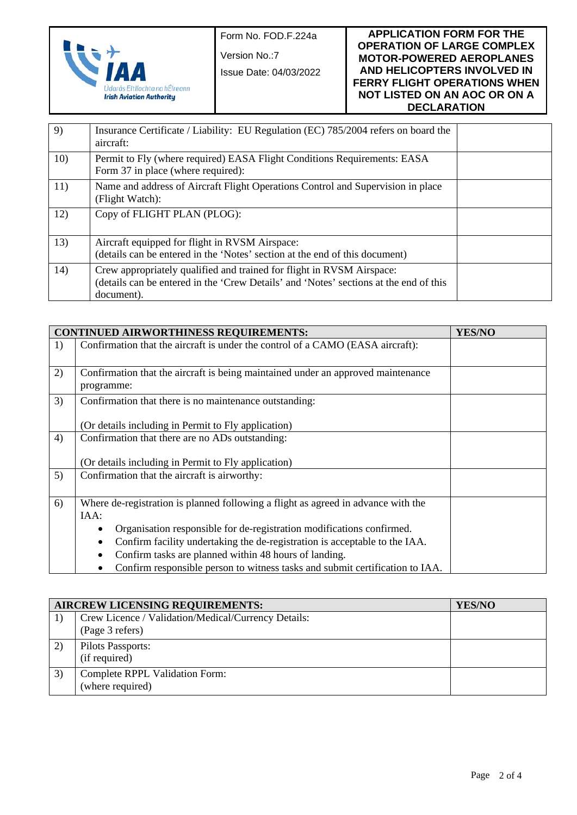

Form No. FOD.F.224a

Version No.:7

Issue Date: 04/03/2022

#### **APPLICATION FORM FOR THE OPERATION OF LARGE COMPLEX MOTOR-POWERED AEROPLANES AND HELICOPTERS INVOLVED IN FERRY FLIGHT OPERATIONS WHEN NOT LISTED ON AN AOC OR ON A DECLARATION**

| 9)  | Insurance Certificate / Liability: EU Regulation (EC) 785/2004 refers on board the<br>aircraft:                                                                              |  |
|-----|------------------------------------------------------------------------------------------------------------------------------------------------------------------------------|--|
| 10) | Permit to Fly (where required) EASA Flight Conditions Requirements: EASA<br>Form 37 in place (where required):                                                               |  |
| 11) | Name and address of Aircraft Flight Operations Control and Supervision in place<br>(Flight Watch):                                                                           |  |
| 12) | Copy of FLIGHT PLAN (PLOG):                                                                                                                                                  |  |
| 13) | Aircraft equipped for flight in RVSM Airspace:<br>(details can be entered in the 'Notes' section at the end of this document)                                                |  |
| 14) | Crew appropriately qualified and trained for flight in RVSM Airspace:<br>(details can be entered in the 'Crew Details' and 'Notes' sections at the end of this<br>document). |  |

|    | <b>CONTINUED AIRWORTHINESS REQUIREMENTS:</b>                                                           | YES/NO |  |  |  |  |  |  |
|----|--------------------------------------------------------------------------------------------------------|--------|--|--|--|--|--|--|
| 1) | Confirmation that the aircraft is under the control of a CAMO (EASA aircraft):                         |        |  |  |  |  |  |  |
| 2) | Confirmation that the aircraft is being maintained under an approved maintenance<br>programme:         |        |  |  |  |  |  |  |
| 3) | Confirmation that there is no maintenance outstanding:                                                 |        |  |  |  |  |  |  |
|    | (Or details including in Permit to Fly application)                                                    |        |  |  |  |  |  |  |
| 4) | Confirmation that there are no ADs outstanding:<br>(Or details including in Permit to Fly application) |        |  |  |  |  |  |  |
| 5) | Confirmation that the aircraft is airworthy:                                                           |        |  |  |  |  |  |  |
| 6) | Where de-registration is planned following a flight as agreed in advance with the                      |        |  |  |  |  |  |  |
|    | IAA:                                                                                                   |        |  |  |  |  |  |  |
|    | Organisation responsible for de-registration modifications confirmed.                                  |        |  |  |  |  |  |  |
|    | Confirm facility undertaking the de-registration is acceptable to the IAA.                             |        |  |  |  |  |  |  |
|    | Confirm tasks are planned within 48 hours of landing.                                                  |        |  |  |  |  |  |  |
|    | Confirm responsible person to witness tasks and submit certification to IAA.                           |        |  |  |  |  |  |  |

| <b>AIRCREW LICENSING REQUIREMENTS:</b> | <b>YES/NO</b>                                                          |  |
|----------------------------------------|------------------------------------------------------------------------|--|
|                                        | Crew Licence / Validation/Medical/Currency Details:<br>(Page 3 refers) |  |
| 2)                                     | Pilots Passports:<br>(if required)                                     |  |
| 3)                                     | Complete RPPL Validation Form:<br>(where required)                     |  |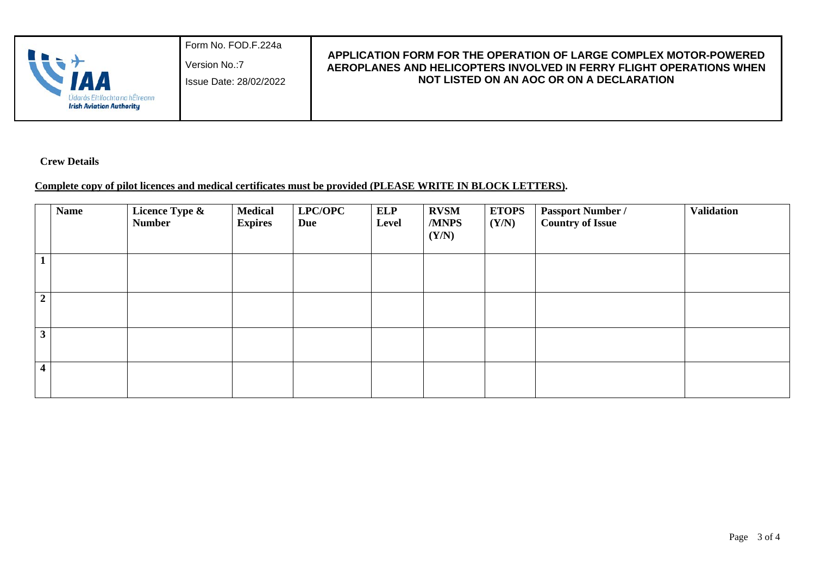|  | <b>Irish Aviation Authority</b> | Form No. FOD F.224a<br>Version No.: 7<br>Issue Date: 28/02/2022 | APPLICATION FORM FOR THE OPERATION OF LARGE COMPLEX MOTOR-POWERED<br>AEROPLANES AND HELICOPTERS INVOLVED IN FERRY FLIGHT OPERATIONS WHEN<br>NOT LISTED ON AN AOC OR ON A DECLARATION |
|--|---------------------------------|-----------------------------------------------------------------|--------------------------------------------------------------------------------------------------------------------------------------------------------------------------------------|
|--|---------------------------------|-----------------------------------------------------------------|--------------------------------------------------------------------------------------------------------------------------------------------------------------------------------------|

 **Crew Details**

## **Complete copy of pilot licences and medical certificates must be provided (PLEASE WRITE IN BLOCK LETTERS).**

|                         | <b>Name</b> | Licence Type &<br><b>Number</b> | <b>Medical</b><br><b>Expires</b> | LPC/OPC<br><b>Due</b> | <b>ELP</b><br>Level | <b>RVSM</b><br>/MNPS<br>(Y/N) | <b>ETOPS</b><br>(Y/N) | <b>Passport Number /<br/>Country of Issue</b> | <b>Validation</b> |
|-------------------------|-------------|---------------------------------|----------------------------------|-----------------------|---------------------|-------------------------------|-----------------------|-----------------------------------------------|-------------------|
| $\mathbf{1}$            |             |                                 |                                  |                       |                     |                               |                       |                                               |                   |
| $\overline{2}$          |             |                                 |                                  |                       |                     |                               |                       |                                               |                   |
| 3                       |             |                                 |                                  |                       |                     |                               |                       |                                               |                   |
| $\overline{\mathbf{4}}$ |             |                                 |                                  |                       |                     |                               |                       |                                               |                   |